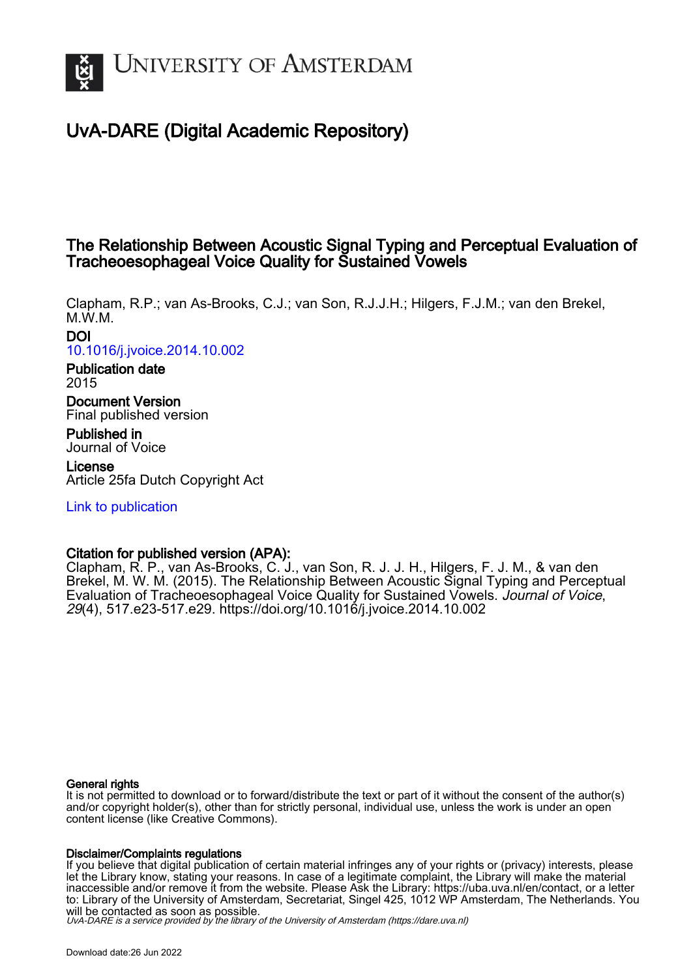

## UvA-DARE (Digital Academic Repository)

## The Relationship Between Acoustic Signal Typing and Perceptual Evaluation of Tracheoesophageal Voice Quality for Sustained Vowels

Clapham, R.P.; van As-Brooks, C.J.; van Son, R.J.J.H.; Hilgers, F.J.M.; van den Brekel, M.W.M.

DOI [10.1016/j.jvoice.2014.10.002](https://doi.org/10.1016/j.jvoice.2014.10.002)

Publication date 2015

Document Version Final published version

Published in Journal of Voice

License Article 25fa Dutch Copyright Act

[Link to publication](https://dare.uva.nl/personal/pure/en/publications/the-relationship-between-acoustic-signal-typing-and-perceptual-evaluation-of-tracheoesophageal-voice-quality-for-sustained-vowels(97a40d8e-2e55-4c00-9bec-fed8e3d7f163).html)

## Citation for published version (APA):

Clapham, R. P., van As-Brooks, C. J., van Son, R. J. J. H., Hilgers, F. J. M., & van den Brekel, M. W. M. (2015). The Relationship Between Acoustic Signal Typing and Perceptual Evaluation of Tracheoesophageal Voice Quality for Sustained Vowels. Journal of Voice, 29(4), 517.e23-517.e29.<https://doi.org/10.1016/j.jvoice.2014.10.002>

#### General rights

It is not permitted to download or to forward/distribute the text or part of it without the consent of the author(s) and/or copyright holder(s), other than for strictly personal, individual use, unless the work is under an open content license (like Creative Commons).

#### Disclaimer/Complaints regulations

If you believe that digital publication of certain material infringes any of your rights or (privacy) interests, please let the Library know, stating your reasons. In case of a legitimate complaint, the Library will make the material inaccessible and/or remove it from the website. Please Ask the Library: https://uba.uva.nl/en/contact, or a letter to: Library of the University of Amsterdam, Secretariat, Singel 425, 1012 WP Amsterdam, The Netherlands. You will be contacted as soon as possible.

UvA-DARE is a service provided by the library of the University of Amsterdam (http*s*://dare.uva.nl)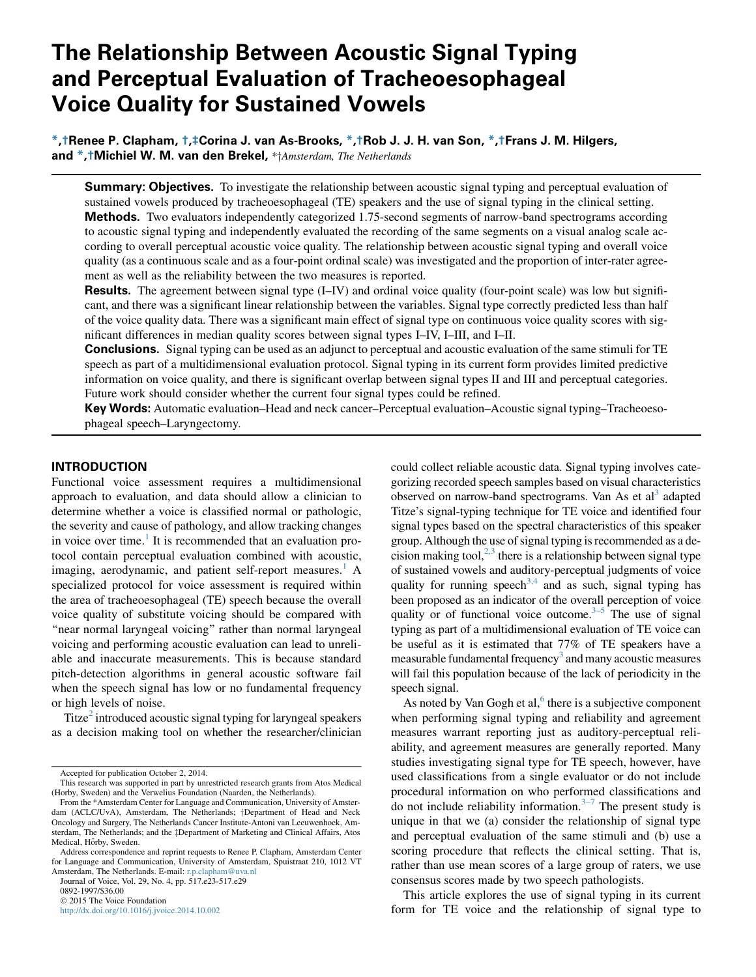# The Relationship Between Acoustic Signal Typing and Perceptual Evaluation of Tracheoesophageal Voice Quality for Sustained Vowels

\*,†Renee P. Clapham, †,‡Corina J. van As-Brooks, \*,†Rob J. J. H. van Son, \*,†Frans J. M. Hilgers, and \*,†Michiel W. M. van den Brekel, \*†Amsterdam, The Netherlands

**Summary: Objectives.** To investigate the relationship between acoustic signal typing and perceptual evaluation of sustained vowels produced by tracheoesophageal (TE) speakers and the use of signal typing in the clinical setting. Methods. Two evaluators independently categorized 1.75-second segments of narrow-band spectrograms according to acoustic signal typing and independently evaluated the recording of the same segments on a visual analog scale according to overall perceptual acoustic voice quality. The relationship between acoustic signal typing and overall voice quality (as a continuous scale and as a four-point ordinal scale) was investigated and the proportion of inter-rater agreement as well as the reliability between the two measures is reported.

**Results.** The agreement between signal type (I–IV) and ordinal voice quality (four-point scale) was low but significant, and there was a significant linear relationship between the variables. Signal type correctly predicted less than half of the voice quality data. There was a significant main effect of signal type on continuous voice quality scores with significant differences in median quality scores between signal types I–IV, I–III, and I–II.

**Conclusions.** Signal typing can be used as an adjunct to perceptual and acoustic evaluation of the same stimuli for TE speech as part of a multidimensional evaluation protocol. Signal typing in its current form provides limited predictive information on voice quality, and there is significant overlap between signal types II and III and perceptual categories. Future work should consider whether the current four signal types could be refined.

Key Words: Automatic evaluation–Head and neck cancer–Perceptual evaluation–Acoustic signal typing–Tracheoesophageal speech–Laryngectomy.

#### INTRODUCTION

Functional voice assessment requires a multidimensional approach to evaluation, and data should allow a clinician to determine whether a voice is classified normal or pathologic, the severity and cause of pathology, and allow tracking changes in voice over time.<sup>[1](#page-7-0)</sup> It is recommended that an evaluation protocol contain perceptual evaluation combined with acoustic, imaging, aerodynamic, and patient self-report measures.<sup>1</sup> A specialized protocol for voice assessment is required within the area of tracheoesophageal (TE) speech because the overall voice quality of substitute voicing should be compared with "near normal laryngeal voicing" rather than normal laryngeal voicing and performing acoustic evaluation can lead to unreliable and inaccurate measurements. This is because standard pitch-detection algorithms in general acoustic software fail when the speech signal has low or no fundamental frequency or high levels of noise.

Titze $<sup>2</sup>$  $<sup>2</sup>$  $<sup>2</sup>$  introduced acoustic signal typing for laryngeal speakers</sup> as a decision making tool on whether the researcher/clinician

Journal of Voice, Vol. 29, No. 4, pp. 517.e23-517.e29

0892-1997/\$36.00

2015 The Voice Foundation

<http://dx.doi.org/10.1016/j.jvoice.2014.10.002>

could collect reliable acoustic data. Signal typing involves categorizing recorded speech samples based on visual characteristics observed on narrow-band spectrograms. Van As et al<sup>3</sup> adapted Titze's signal-typing technique for TE voice and identified four signal types based on the spectral characteristics of this speaker group. Although the use of signal typing is recommended as a decision making tool, $2,3$  there is a relationship between signal type of sustained vowels and auditory-perceptual judgments of voice quality for running speech<sup>[3,4](#page-7-0)</sup> and as such, signal typing has been proposed as an indicator of the overall perception of voice quality or of functional voice outcome. $3-5$  The use of signal typing as part of a multidimensional evaluation of TE voice can be useful as it is estimated that 77% of TE speakers have a measurable fundamental frequency<sup>3</sup> and many acoustic measures will fail this population because of the lack of periodicity in the speech signal.

As noted by Van Gogh et al, $6$  there is a subjective component when performing signal typing and reliability and agreement measures warrant reporting just as auditory-perceptual reliability, and agreement measures are generally reported. Many studies investigating signal type for TE speech, however, have used classifications from a single evaluator or do not include procedural information on who performed classifications and do not include reliability information.<sup> $3-7$ </sup> The present study is unique in that we (a) consider the relationship of signal type and perceptual evaluation of the same stimuli and (b) use a scoring procedure that reflects the clinical setting. That is, rather than use mean scores of a large group of raters, we use consensus scores made by two speech pathologists.

This article explores the use of signal typing in its current form for TE voice and the relationship of signal type to

Accepted for publication October 2, 2014.

This research was supported in part by unrestricted research grants from Atos Medical (Horby, Sweden) and the Verwelius Foundation (Naarden, the Netherlands).

From the \*Amsterdam Center for Language and Communication, University of Amsterdam (ACLC/UvA), Amsterdam, The Netherlands; <sup>†</sup>Department of Head and Neck Oncology and Surgery, The Netherlands Cancer Institute-Antoni van Leeuwenhoek, Amsterdam, The Netherlands; and the  $\ddagger$ Department of Marketing and Clinical Affairs, Atos Medical, Hörby, Sweden.

Address correspondence and reprint requests to Renee P. Clapham, Amsterdam Center for Language and Communication, University of Amsterdam, Spuistraat 210, 1012 VT Amsterdam, The Netherlands. E-mail: [r.p.clapham@uva.nl](mailto:r.p.clapham@uva.nl)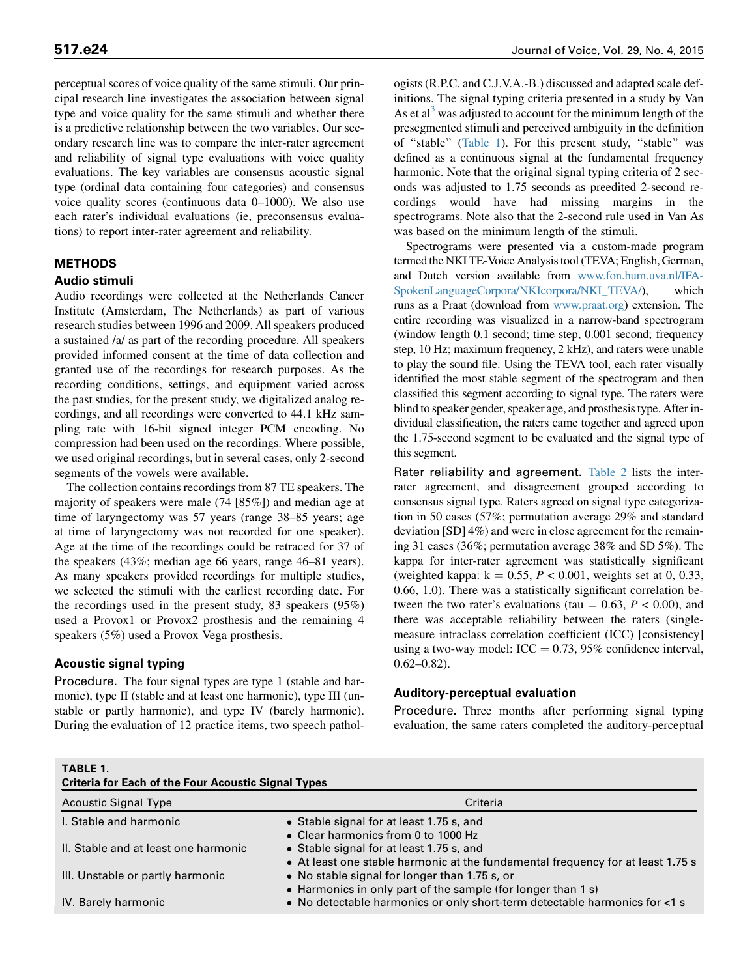perceptual scores of voice quality of the same stimuli. Our principal research line investigates the association between signal type and voice quality for the same stimuli and whether there is a predictive relationship between the two variables. Our secondary research line was to compare the inter-rater agreement and reliability of signal type evaluations with voice quality evaluations. The key variables are consensus acoustic signal type (ordinal data containing four categories) and consensus voice quality scores (continuous data 0–1000). We also use each rater's individual evaluations (ie, preconsensus evaluations) to report inter-rater agreement and reliability.

### METHODS

#### Audio stimuli

Audio recordings were collected at the Netherlands Cancer Institute (Amsterdam, The Netherlands) as part of various research studies between 1996 and 2009. All speakers produced a sustained /a/ as part of the recording procedure. All speakers provided informed consent at the time of data collection and granted use of the recordings for research purposes. As the recording conditions, settings, and equipment varied across the past studies, for the present study, we digitalized analog recordings, and all recordings were converted to 44.1 kHz sampling rate with 16-bit signed integer PCM encoding. No compression had been used on the recordings. Where possible, we used original recordings, but in several cases, only 2-second segments of the vowels were available.

The collection contains recordings from 87 TE speakers. The majority of speakers were male (74 [85%]) and median age at time of laryngectomy was 57 years (range 38–85 years; age at time of laryngectomy was not recorded for one speaker). Age at the time of the recordings could be retraced for 37 of the speakers (43%; median age 66 years, range 46–81 years). As many speakers provided recordings for multiple studies, we selected the stimuli with the earliest recording date. For the recordings used in the present study, 83 speakers (95%) used a Provox1 or Provox2 prosthesis and the remaining 4 speakers (5%) used a Provox Vega prosthesis.

#### Acoustic signal typing

TABLE 1.

Procedure. The four signal types are type 1 (stable and harmonic), type II (stable and at least one harmonic), type III (unstable or partly harmonic), and type IV (barely harmonic). During the evaluation of 12 practice items, two speech pathologists (R.P.C. and C.J.V.A.-B.) discussed and adapted scale definitions. The signal typing criteria presented in a study by Van As et  $a^3$  $a^3$  was adjusted to account for the minimum length of the presegmented stimuli and perceived ambiguity in the definition of ''stable'' (Table 1). For this present study, ''stable'' was defined as a continuous signal at the fundamental frequency harmonic. Note that the original signal typing criteria of 2 seconds was adjusted to 1.75 seconds as preedited 2-second recordings would have had missing margins in the spectrograms. Note also that the 2-second rule used in Van As was based on the minimum length of the stimuli.

Spectrograms were presented via a custom-made program termed the NKI TE-Voice Analysis tool (TEVA; English, German, and Dutch version available from [www.fon.hum.uva.nl/IFA-](http://www.fon.hum.uva.nl/IFA-SpokenLanguageCorpora/NKIcorpora/NKI_TEVA/)[SpokenLanguageCorpora/NKIcorpora/NKI\\_TEVA/\)](http://www.fon.hum.uva.nl/IFA-SpokenLanguageCorpora/NKIcorpora/NKI_TEVA/), which runs as a Praat (download from [www.praat.org\)](http://www.praat.org) extension. The entire recording was visualized in a narrow-band spectrogram (window length 0.1 second; time step, 0.001 second; frequency step, 10 Hz; maximum frequency, 2 kHz), and raters were unable to play the sound file. Using the TEVA tool, each rater visually identified the most stable segment of the spectrogram and then classified this segment according to signal type. The raters were blind to speaker gender, speaker age, and prosthesis type. After individual classification, the raters came together and agreed upon the 1.75-second segment to be evaluated and the signal type of this segment.

Rater reliability and agreement. [Table 2](#page-3-0) lists the interrater agreement, and disagreement grouped according to consensus signal type. Raters agreed on signal type categorization in 50 cases (57%; permutation average 29% and standard deviation [SD] 4%) and were in close agreement for the remaining 31 cases (36%; permutation average 38% and SD 5%). The kappa for inter-rater agreement was statistically significant (weighted kappa:  $k = 0.55$ ,  $P < 0.001$ , weights set at 0, 0.33, 0.66, 1.0). There was a statistically significant correlation between the two rater's evaluations (tau  $= 0.63, P < 0.00$ ), and there was acceptable reliability between the raters (singlemeasure intraclass correlation coefficient (ICC) [consistency] using a two-way model: ICC =  $0.73$ , 95% confidence interval, 0.62–0.82).

#### Auditory-perceptual evaluation

Procedure. Three months after performing signal typing evaluation, the same raters completed the auditory-perceptual

| <b>Criteria for Each of the Four Acoustic Signal Types</b> |                                                                                                                             |  |  |  |  |
|------------------------------------------------------------|-----------------------------------------------------------------------------------------------------------------------------|--|--|--|--|
| <b>Acoustic Signal Type</b>                                | Criteria                                                                                                                    |  |  |  |  |
| I. Stable and harmonic                                     | • Stable signal for at least 1.75 s, and<br>• Clear harmonics from 0 to 1000 Hz                                             |  |  |  |  |
| II. Stable and at least one harmonic                       | • Stable signal for at least 1.75 s, and<br>• At least one stable harmonic at the fundamental frequency for at least 1.75 s |  |  |  |  |
| III. Unstable or partly harmonic                           | • No stable signal for longer than 1.75 s, or<br>• Harmonics in only part of the sample (for longer than 1 s)               |  |  |  |  |
| IV. Barely harmonic                                        | • No detectable harmonics or only short-term detectable harmonics for <1 s                                                  |  |  |  |  |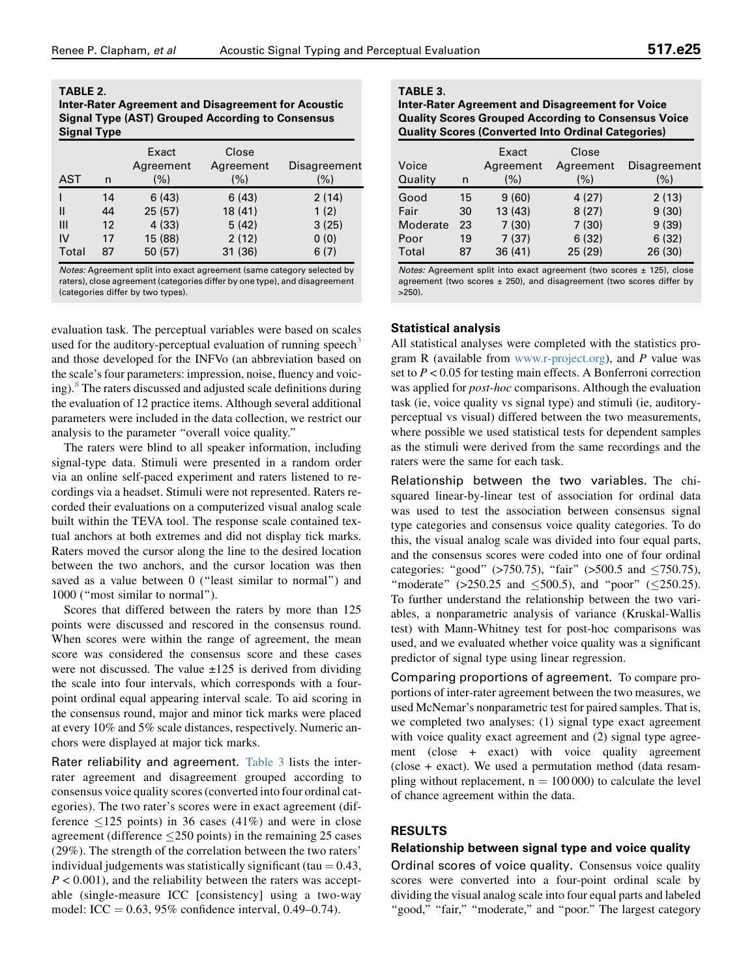#### <span id="page-3-0"></span>TABLE 2. Inter-Rater Agreement and Disagreement for Acoustic Signal Type (AST) Grouped According to Consensus Signal Type

| <b>AST</b> | n  | Exact<br>Agreement<br>(%) | Close<br>Agreement<br>(%) | Disagreement<br>(%) |
|------------|----|---------------------------|---------------------------|---------------------|
|            | 14 | 6(43)                     | 6(43)                     | 2(14)               |
| Ш          | 44 | 25(57)                    | 18 (41)                   | 1(2)                |
| Ш          | 12 | 4(33)                     | 5(42)                     | 3(25)               |
| ı٧         | 17 | 15 (88)                   | 2(12)                     | 0(0)                |
| Total      | 87 | 50 (57)                   | 31 (36)                   | 6(7)                |

Notes: Agreement split into exact agreement (same category selected by raters), close agreement (categories differ by one type), and disagreement (categories differ by two types).

evaluation task. The perceptual variables were based on scales used for the auditory-perceptual evaluation of running speech<sup>[3](#page-7-0)</sup> and those developed for the INFVo (an abbreviation based on the scale's four parameters: impression, noise, fluency and voic-ing).<sup>[8](#page-7-0)</sup> The raters discussed and adjusted scale definitions during the evaluation of 12 practice items. Although several additional parameters were included in the data collection, we restrict our analysis to the parameter ''overall voice quality.''

The raters were blind to all speaker information, including signal-type data. Stimuli were presented in a random order via an online self-paced experiment and raters listened to recordings via a headset. Stimuli were not represented. Raters recorded their evaluations on a computerized visual analog scale built within the TEVA tool. The response scale contained textual anchors at both extremes and did not display tick marks. Raters moved the cursor along the line to the desired location between the two anchors, and the cursor location was then saved as a value between 0 ("least similar to normal") and 1000 (''most similar to normal'').

Scores that differed between the raters by more than 125 points were discussed and rescored in the consensus round. When scores were within the range of agreement, the mean score was considered the consensus score and these cases were not discussed. The value  $\pm 125$  is derived from dividing the scale into four intervals, which corresponds with a fourpoint ordinal equal appearing interval scale. To aid scoring in the consensus round, major and minor tick marks were placed at every 10% and 5% scale distances, respectively. Numeric anchors were displayed at major tick marks.

Rater reliability and agreement. Table 3 lists the interrater agreement and disagreement grouped according to consensus voice quality scores (converted into four ordinal categories). The two rater's scores were in exact agreement (difference  $\leq$ 125 points) in 36 cases (41%) and were in close agreement (difference  $\leq$ 250 points) in the remaining 25 cases (29%). The strength of the correlation between the two raters' individual judgements was statistically significant (tau  $= 0.43$ ,  $P < 0.001$ ), and the reliability between the raters was acceptable (single-measure ICC [consistency] using a two-way model: ICC =  $0.63$ ,  $95\%$  confidence interval,  $0.49 - 0.74$ ).

#### TABLE 3. Inter-Rater Agreement and Disagreement for Voice Quality Scores Grouped According to Consensus Voice Quality Scores (Converted Into Ordinal Categories)

|          |    | Exact     | Close     |              |
|----------|----|-----------|-----------|--------------|
| Voice    |    | Agreement | Agreement | Disagreement |
| Quality  | n  | $(\% )$   | (% )      | (%)          |
| Good     | 15 | 9(60)     | 4(27)     | 2(13)        |
| Fair     | 30 | 13(43)    | 8(27)     | 9(30)        |
| Moderate | 23 | 7(30)     | 7(30)     | 9(39)        |
| Poor     | 19 | 7(37)     | 6(32)     | 6(32)        |
| Total    | 87 | 36(41)    | 25 (29)   | 26 (30)      |

Notes: Agreement split into exact agreement (two scores ± 125), close agreement (two scores  $\pm$  250), and disagreement (two scores differ by  $>250$ ).

#### Statistical analysis

All statistical analyses were completed with the statistics program R (available from [www.r-project.org](http://www.r-project.org)), and P value was set to  $P < 0.05$  for testing main effects. A Bonferroni correction was applied for *post-hoc* comparisons. Although the evaluation task (ie, voice quality vs signal type) and stimuli (ie, auditoryperceptual vs visual) differed between the two measurements, where possible we used statistical tests for dependent samples as the stimuli were derived from the same recordings and the raters were the same for each task.

Relationship between the two variables. The chisquared linear-by-linear test of association for ordinal data was used to test the association between consensus signal type categories and consensus voice quality categories. To do this, the visual analog scale was divided into four equal parts, and the consensus scores were coded into one of four ordinal categories: "good" (>750.75), "fair" (>500.5 and  $\leq$ 750.75), "moderate" (>250.25 and  $\leq 500.5$ ), and "poor" ( $\leq 250.25$ ). To further understand the relationship between the two variables, a nonparametric analysis of variance (Kruskal-Wallis test) with Mann-Whitney test for post-hoc comparisons was used, and we evaluated whether voice quality was a significant predictor of signal type using linear regression.

Comparing proportions of agreement. To compare proportions of inter-rater agreement between the two measures, we used McNemar's nonparametric test for paired samples. That is, we completed two analyses: (1) signal type exact agreement with voice quality exact agreement and (2) signal type agreement (close + exact) with voice quality agreement (close + exact). We used a permutation method (data resampling without replacement,  $n = 100000$  to calculate the level of chance agreement within the data.

#### RESULTS

#### Relationship between signal type and voice quality

Ordinal scores of voice quality. Consensus voice quality scores were converted into a four-point ordinal scale by dividing the visual analog scale into four equal parts and labeled "good," "fair," "moderate," and "poor." The largest category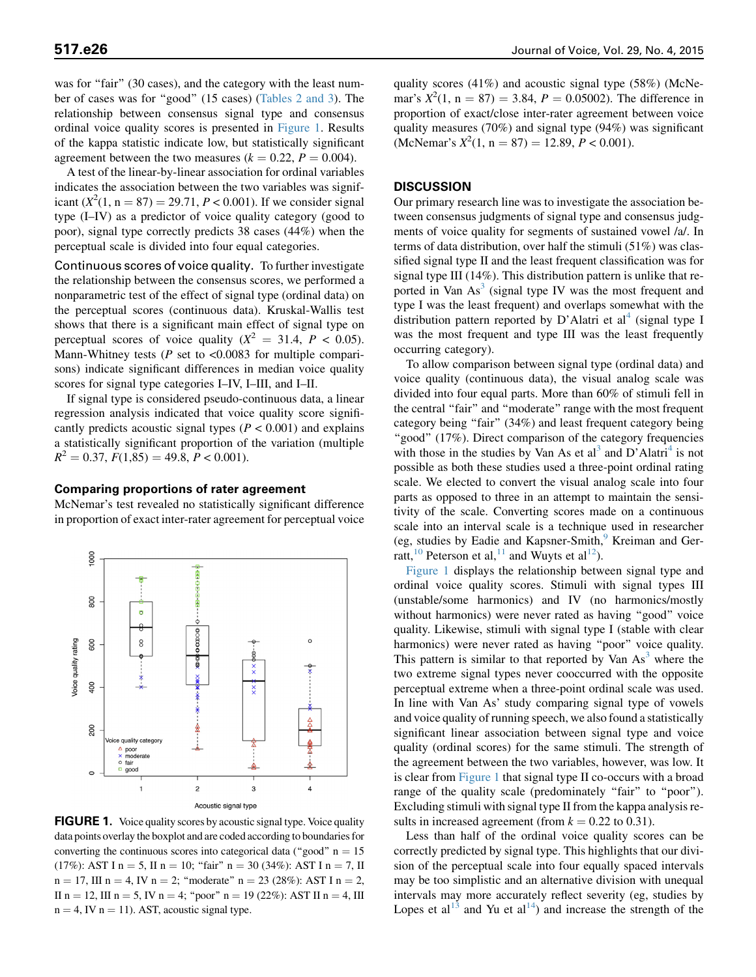was for "fair" (30 cases), and the category with the least num-ber of cases was for "good" (15 cases) ([Tables 2 and 3\)](#page-3-0). The relationship between consensus signal type and consensus ordinal voice quality scores is presented in Figure 1. Results of the kappa statistic indicate low, but statistically significant agreement between the two measures ( $k = 0.22$ ,  $P = 0.004$ ).

A test of the linear-by-linear association for ordinal variables indicates the association between the two variables was significant  $(X^2(1, n = 87) = 29.71, P < 0.001)$ . If we consider signal type (I–IV) as a predictor of voice quality category (good to poor), signal type correctly predicts 38 cases (44%) when the perceptual scale is divided into four equal categories.

Continuous scores of voice quality. To further investigate the relationship between the consensus scores, we performed a nonparametric test of the effect of signal type (ordinal data) on the perceptual scores (continuous data). Kruskal-Wallis test shows that there is a significant main effect of signal type on perceptual scores of voice quality ( $X^2 = 31.4$ ,  $P < 0.05$ ). Mann-Whitney tests ( $P$  set to <0.0083 for multiple comparisons) indicate significant differences in median voice quality scores for signal type categories I–IV, I–III, and I–II.

If signal type is considered pseudo-continuous data, a linear regression analysis indicated that voice quality score significantly predicts acoustic signal types ( $P < 0.001$ ) and explains a statistically significant proportion of the variation (multiple  $R<sup>2</sup> = 0.37, F(1,85) = 49.8, P < 0.001$ .

#### Comparing proportions of rater agreement

McNemar's test revealed no statistically significant difference in proportion of exact inter-rater agreement for perceptual voice



FIGURE 1. Voice quality scores by acoustic signal type. Voice quality data points overlay the boxplot and are coded according to boundaries for converting the continuous scores into categorical data ("good"  $n = 15$ (17%): AST I n = 5, II n = 10; "fair" n = 30 (34%): AST I n = 7, II  $n = 17$ , III  $n = 4$ , IV  $n = 2$ ; "moderate"  $n = 23$  (28%): AST I  $n = 2$ , II n = 12, III n = 5, IV n = 4; "poor" n = 19 (22%): AST II n = 4, III  $n = 4$ , IV  $n = 11$ ). AST, acoustic signal type.

quality scores (41%) and acoustic signal type (58%) (McNemar's  $X^2(1, n = 87) = 3.84, P = 0.05002$ . The difference in proportion of exact/close inter-rater agreement between voice quality measures (70%) and signal type (94%) was significant (McNemar's  $X^2(1, n = 87) = 12.89, P < 0.001$ ).

#### DISCUSSION

Our primary research line was to investigate the association between consensus judgments of signal type and consensus judgments of voice quality for segments of sustained vowel /a/. In terms of data distribution, over half the stimuli (51%) was classified signal type II and the least frequent classification was for signal type III (14%). This distribution pattern is unlike that reported in Van  $As<sup>3</sup>$  $As<sup>3</sup>$  $As<sup>3</sup>$  (signal type IV was the most frequent and type I was the least frequent) and overlaps somewhat with the distribution pattern reported by D'Alatri et al<sup>[4](#page-7-0)</sup> (signal type I was the most frequent and type III was the least frequently occurring category).

To allow comparison between signal type (ordinal data) and voice quality (continuous data), the visual analog scale was divided into four equal parts. More than 60% of stimuli fell in the central ''fair'' and ''moderate'' range with the most frequent category being "fair" (34%) and least frequent category being "good" (17%). Direct comparison of the category frequencies with those in the studies by Van As et al<sup>[3](#page-7-0)</sup> and D'Alatri<sup>[4](#page-7-0)</sup> is not possible as both these studies used a three-point ordinal rating scale. We elected to convert the visual analog scale into four parts as opposed to three in an attempt to maintain the sensitivity of the scale. Converting scores made on a continuous scale into an interval scale is a technique used in researcher (eg, studies by Eadie and Kapsner-Smith,<sup>[9](#page-7-0)</sup> Kreiman and Ger-ratt,<sup>[10](#page-7-0)</sup> Peterson et al,<sup>[11](#page-7-0)</sup> and Wuyts et al<sup>[12](#page-7-0)</sup>).

Figure 1 displays the relationship between signal type and ordinal voice quality scores. Stimuli with signal types III (unstable/some harmonics) and IV (no harmonics/mostly without harmonics) were never rated as having "good" voice quality. Likewise, stimuli with signal type I (stable with clear harmonics) were never rated as having "poor" voice quality. This pattern is similar to that reported by Van  $As<sup>3</sup>$  $As<sup>3</sup>$  $As<sup>3</sup>$  where the two extreme signal types never cooccurred with the opposite perceptual extreme when a three-point ordinal scale was used. In line with Van As' study comparing signal type of vowels and voice quality of running speech, we also found a statistically significant linear association between signal type and voice quality (ordinal scores) for the same stimuli. The strength of the agreement between the two variables, however, was low. It is clear from Figure 1 that signal type II co-occurs with a broad range of the quality scale (predominately "fair" to "poor"). Excluding stimuli with signal type II from the kappa analysis results in increased agreement (from  $k = 0.22$  to 0.31).

Less than half of the ordinal voice quality scores can be correctly predicted by signal type. This highlights that our division of the perceptual scale into four equally spaced intervals may be too simplistic and an alternative division with unequal intervals may more accurately reflect severity (eg, studies by Lopes et al<sup>[13](#page-7-0)</sup> and Yu et al<sup>14</sup>) and increase the strength of the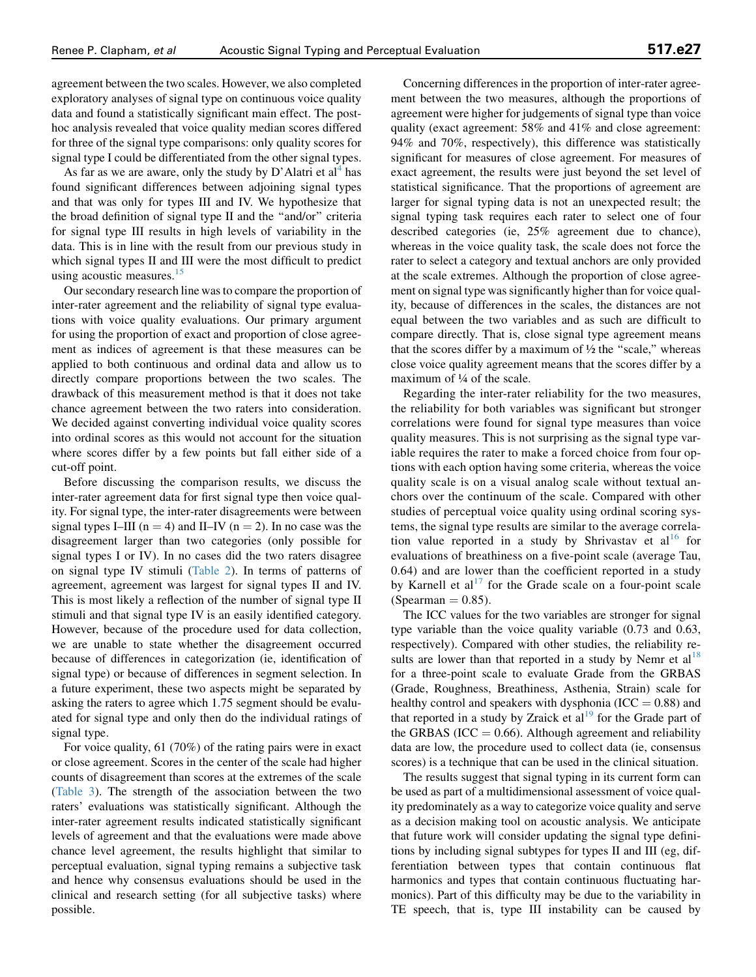agreement between the two scales. However, we also completed exploratory analyses of signal type on continuous voice quality data and found a statistically significant main effect. The posthoc analysis revealed that voice quality median scores differed for three of the signal type comparisons: only quality scores for signal type I could be differentiated from the other signal types.

As far as we are aware, only the study by D'Alatri et  $al<sup>4</sup>$  $al<sup>4</sup>$  $al<sup>4</sup>$  has found significant differences between adjoining signal types and that was only for types III and IV. We hypothesize that the broad definition of signal type II and the ''and/or'' criteria for signal type III results in high levels of variability in the data. This is in line with the result from our previous study in which signal types II and III were the most difficult to predict using acoustic measures.<sup>[15](#page-7-0)</sup>

Our secondary research line was to compare the proportion of inter-rater agreement and the reliability of signal type evaluations with voice quality evaluations. Our primary argument for using the proportion of exact and proportion of close agreement as indices of agreement is that these measures can be applied to both continuous and ordinal data and allow us to directly compare proportions between the two scales. The drawback of this measurement method is that it does not take chance agreement between the two raters into consideration. We decided against converting individual voice quality scores into ordinal scores as this would not account for the situation where scores differ by a few points but fall either side of a cut-off point.

Before discussing the comparison results, we discuss the inter-rater agreement data for first signal type then voice quality. For signal type, the inter-rater disagreements were between signal types I–III ( $n = 4$ ) and II–IV ( $n = 2$ ). In no case was the disagreement larger than two categories (only possible for signal types I or IV). In no cases did the two raters disagree on signal type IV stimuli ([Table 2](#page-3-0)). In terms of patterns of agreement, agreement was largest for signal types II and IV. This is most likely a reflection of the number of signal type II stimuli and that signal type IV is an easily identified category. However, because of the procedure used for data collection, we are unable to state whether the disagreement occurred because of differences in categorization (ie, identification of signal type) or because of differences in segment selection. In a future experiment, these two aspects might be separated by asking the raters to agree which 1.75 segment should be evaluated for signal type and only then do the individual ratings of signal type.

For voice quality, 61 (70%) of the rating pairs were in exact or close agreement. Scores in the center of the scale had higher counts of disagreement than scores at the extremes of the scale [\(Table 3\)](#page-3-0). The strength of the association between the two raters' evaluations was statistically significant. Although the inter-rater agreement results indicated statistically significant levels of agreement and that the evaluations were made above chance level agreement, the results highlight that similar to perceptual evaluation, signal typing remains a subjective task and hence why consensus evaluations should be used in the clinical and research setting (for all subjective tasks) where possible.

Concerning differences in the proportion of inter-rater agreement between the two measures, although the proportions of agreement were higher for judgements of signal type than voice quality (exact agreement: 58% and 41% and close agreement: 94% and 70%, respectively), this difference was statistically significant for measures of close agreement. For measures of exact agreement, the results were just beyond the set level of statistical significance. That the proportions of agreement are larger for signal typing data is not an unexpected result; the signal typing task requires each rater to select one of four described categories (ie, 25% agreement due to chance), whereas in the voice quality task, the scale does not force the rater to select a category and textual anchors are only provided at the scale extremes. Although the proportion of close agreement on signal type was significantly higher than for voice quality, because of differences in the scales, the distances are not equal between the two variables and as such are difficult to compare directly. That is, close signal type agreement means that the scores differ by a maximum of  $\frac{1}{2}$  the "scale," whereas close voice quality agreement means that the scores differ by a maximum of ¼ of the scale.

Regarding the inter-rater reliability for the two measures, the reliability for both variables was significant but stronger correlations were found for signal type measures than voice quality measures. This is not surprising as the signal type variable requires the rater to make a forced choice from four options with each option having some criteria, whereas the voice quality scale is on a visual analog scale without textual anchors over the continuum of the scale. Compared with other studies of perceptual voice quality using ordinal scoring systems, the signal type results are similar to the average correlation value reported in a study by Shrivastav et  $al<sup>16</sup>$  $al<sup>16</sup>$  $al<sup>16</sup>$  for evaluations of breathiness on a five-point scale (average Tau, 0.64) and are lower than the coefficient reported in a study by Karnell et  $al<sup>17</sup>$  $al<sup>17</sup>$  $al<sup>17</sup>$  for the Grade scale on a four-point scale (Spearman  $= 0.85$ ).

The ICC values for the two variables are stronger for signal type variable than the voice quality variable (0.73 and 0.63, respectively). Compared with other studies, the reliability results are lower than that reported in a study by Nemr et  $al^{18}$  $al^{18}$  $al^{18}$ for a three-point scale to evaluate Grade from the GRBAS (Grade, Roughness, Breathiness, Asthenia, Strain) scale for healthy control and speakers with dysphonia (ICC  $= 0.88$ ) and that reported in a study by Zraick et  $al<sup>19</sup>$  $al<sup>19</sup>$  $al<sup>19</sup>$  for the Grade part of the GRBAS (ICC  $= 0.66$ ). Although agreement and reliability data are low, the procedure used to collect data (ie, consensus scores) is a technique that can be used in the clinical situation.

The results suggest that signal typing in its current form can be used as part of a multidimensional assessment of voice quality predominately as a way to categorize voice quality and serve as a decision making tool on acoustic analysis. We anticipate that future work will consider updating the signal type definitions by including signal subtypes for types II and III (eg, differentiation between types that contain continuous flat harmonics and types that contain continuous fluctuating harmonics). Part of this difficulty may be due to the variability in TE speech, that is, type III instability can be caused by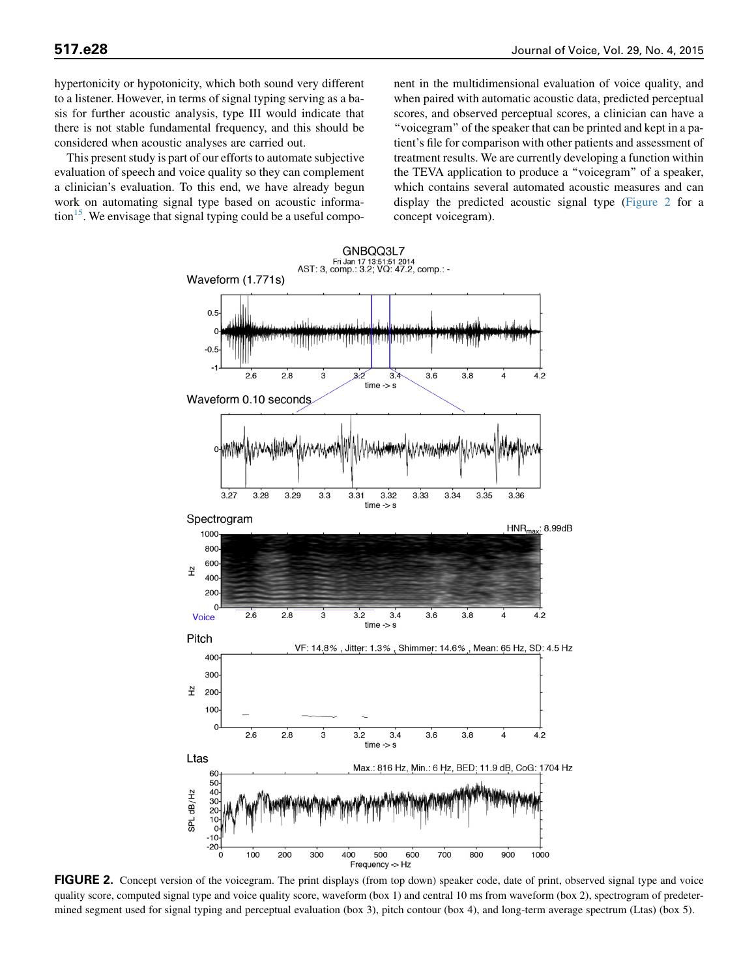hypertonicity or hypotonicity, which both sound very different to a listener. However, in terms of signal typing serving as a basis for further acoustic analysis, type III would indicate that there is not stable fundamental frequency, and this should be considered when acoustic analyses are carried out.

This present study is part of our efforts to automate subjective evaluation of speech and voice quality so they can complement a clinician's evaluation. To this end, we have already begun work on automating signal type based on acoustic informa- $\frac{15}{3}$  $\frac{15}{3}$  $\frac{15}{3}$ . We envisage that signal typing could be a useful component in the multidimensional evaluation of voice quality, and when paired with automatic acoustic data, predicted perceptual scores, and observed perceptual scores, a clinician can have a ''voicegram'' of the speaker that can be printed and kept in a patient's file for comparison with other patients and assessment of treatment results. We are currently developing a function within the TEVA application to produce a ''voicegram'' of a speaker, which contains several automated acoustic measures and can display the predicted acoustic signal type (Figure 2 for a concept voicegram).



FIGURE 2. Concept version of the voicegram. The print displays (from top down) speaker code, date of print, observed signal type and voice quality score, computed signal type and voice quality score, waveform (box 1) and central 10 ms from waveform (box 2), spectrogram of predetermined segment used for signal typing and perceptual evaluation (box 3), pitch contour (box 4), and long-term average spectrum (Ltas) (box 5).